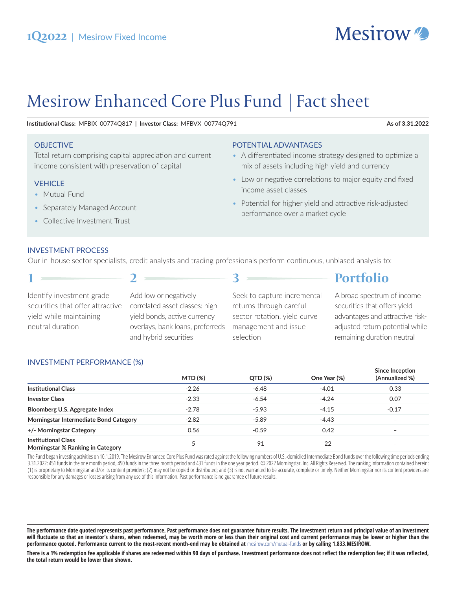

# Mesirow Enhanced Core Plus Fund | Fact sheet

Institutional Class: MFBIX 00774Q817 | Investor Class: MFBVX 00774Q791

#### **OBJECTIVE**

Total return comprising capital appreciation and current income consistent with preservation of capital

#### **VEHICLE**

- Mutual Fund
- Separately Managed Account
- Collective Investment Trust

## POTENTIAL ADVANTAGES

- A differentiated income strategy designed to optimize a mix of assets including high yield and currency
- Low or negative correlations to major equity and fixed income asset classes
- Potential for higher yield and attractive risk-adjusted performance over a market cycle

### **INVESTMENT PROCESS**

Our in-house sector specialists, credit analysts and trading professionals perform continuous, unbiased analysis to:

| A broad spectrum of income<br>Add low or negatively<br>Seek to capture incremental<br>Identify investment grade<br>correlated asset classes: high<br>securities that offers yield<br>securities that offer attractive<br>returns through careful<br>yield while maintaining<br>yield bonds, active currency<br>sector rotation, yield curve<br>neutral duration<br>overlays, bank loans, preferreds<br>management and issue<br>remaining duration neutral<br>and hybrid securities<br>selection |  | <b>Portfolio</b>                                                   |
|-------------------------------------------------------------------------------------------------------------------------------------------------------------------------------------------------------------------------------------------------------------------------------------------------------------------------------------------------------------------------------------------------------------------------------------------------------------------------------------------------|--|--------------------------------------------------------------------|
|                                                                                                                                                                                                                                                                                                                                                                                                                                                                                                 |  | advantages and attractive risk-<br>adjusted return potential while |

### **INVESTMENT PERFORMANCE (%)**

|                                                                 | <b>MTD (%)</b> | QTD (%) | One Year (%) | Since Inception<br>(Annualized %) |
|-----------------------------------------------------------------|----------------|---------|--------------|-----------------------------------|
| <b>Institutional Class</b>                                      | $-2.26$        | $-6.48$ | $-4.01$      | 0.33                              |
| <b>Investor Class</b>                                           | $-2.33$        | $-6.54$ | $-4.24$      | 0.07                              |
| Bloomberg U.S. Aggregate Index                                  | $-2.78$        | $-5.93$ | $-4.15$      | $-0.17$                           |
| Morningstar Intermediate Bond Category                          | $-2.82$        | $-5.89$ | $-4.43$      | $\overline{\phantom{0}}$          |
| +/- Morningstar Category                                        | 0.56           | $-0.59$ | 0.42         | $\overline{\phantom{0}}$          |
| <b>Institutional Class</b><br>Morningstar % Ranking in Category |                | 91      | 22           |                                   |

The Fund began investing activities on 10.1.2019. The Mesirow Enhanced Core Plus Fund was rated against the following numbers of U.S.-domiciled Intermediate Bond funds over the following time periods ending 3.31.2022: 451 funds in the one month period, 450 funds in the three month period and 431 funds in the one year period. © 2022 Morningstar, Inc. All Rights Reserved. The ranking information contained herein: (1) is proprietary to Morningstar and/or its content providers; (2) may not be copied or distributed; and (3) is not warranted to be accurate, complete or timely. Neither Morningstar nor its content providers are responsible for any damages or losses arising from any use of this information. Past performance is no guarantee of future results.

There is a 1% redemption fee applicable if shares are redeemed within 90 days of purchase. Investment performance does not reflect the redemption fee; if it was reflected, the total return would be lower than shown.

#### As of 3.31.2022

The performance date quoted represents past performance. Past performance does not guarantee future results. The investment return and principal value of an investment will fluctuate so that an investor's shares, when redeemed, may be worth more or less than their original cost and current performance may be lower or higher than the performance quoted. Performance current to the most-recent month-end may be obtained at mesirow.com/mutual-funds or by calling 1.833.MESIROW.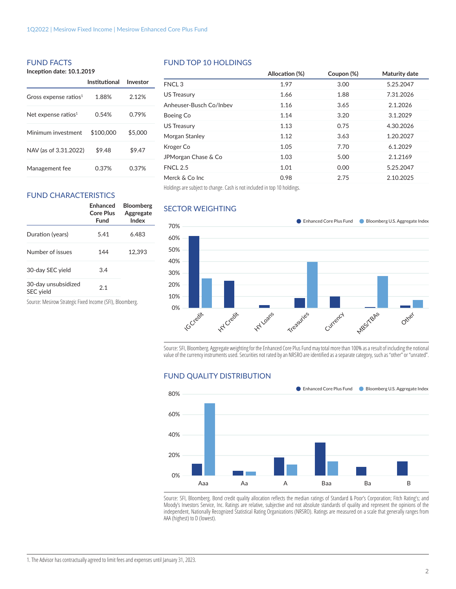## FUND FACTS

**Incepঞ on date: 10.1.2019**

|                                   | Institutional | Investor |
|-----------------------------------|---------------|----------|
| Gross expense ratios <sup>1</sup> | 1.88%         | 2.12%    |
| Net expense ratios $1$            | 0.54%         | 0.79%    |
| Minimum investment                | \$100,000     | \$5,000  |
| NAV (as of 3.31.2022)             | \$9.48        | \$9.47   |
| Management fee                    | 0.37%         | 0.37%    |

#### FUND TOP 10 HOLDINGS

|                         | Allocation (%) | Coupon (%) | Maturity date |
|-------------------------|----------------|------------|---------------|
| FNCL <sub>3</sub>       | 1.97           | 3.00       | 5.25.2047     |
| <b>US Treasury</b>      | 1.66           | 1.88       | 7.31.2026     |
| Anheuser-Busch Co/Inbev | 1.16           | 3.65       | 2.1.2026      |
| Boeing Co               | 1.14           | 3.20       | 3.1.2029      |
| US Treasury             | 1.13           | 0.75       | 4.30.2026     |
| Morgan Stanley          | 1.12           | 3.63       | 1.20.2027     |
| Kroger Co               | 1.05           | 7.70       | 6.1.2029      |
| JPMorgan Chase & Co     | 1.03           | 5.00       | 2.1.2169      |
| <b>FNCL 2.5</b>         | 1.01           | 0.00       | 5.25.2047     |
| Merck & Co Inc          | 0.98           | 2.75       | 2.10.2025     |
|                         |                |            |               |

Holdings are subject to change. Cash is not included in top 10 holdings.

# FUND CHARACTERISTICS

|                                  | Enhanced<br>Core Plus<br>Fund | <b>Bloomberg</b><br>Aggregate<br>Index |
|----------------------------------|-------------------------------|----------------------------------------|
| Duration (years)                 | 5.41                          | 6.483                                  |
| Number of issues                 | 144                           | 12,393                                 |
| 30-day SEC yield                 | 3.4                           |                                        |
| 30-day unsubsidized<br>SEC yield | 2.1                           |                                        |

Source: Mesirow Strategic Fixed Income (SFI), Bloomberg.

#### SECTOR WEIGHTING



Source: SFI, Bloomberg. Aggregate weighting for the Enhanced Core Plus Fund may total more than 100% as a result of including the notional value of the currency instruments used. Securities not rated by an NRSRO are identified as a separate category, such as "other" or "unrated".

#### FUND QUALITY DISTRIBUTION



Source: SFI, Bloomberg. Bond credit quality allocation reflects the median ratings of Standard & Poor's Corporation; Fitch Rating's; and Moody's Investors Service, Inc. Ratings are relative, subjective and not absolute standards of quality and represent the opinions of the independent, Nationally Recognized Statistical Rating Organizations (NRSRO). Ratings are measured on a scale that generally ranges from AAA (highest) to D (lowest).